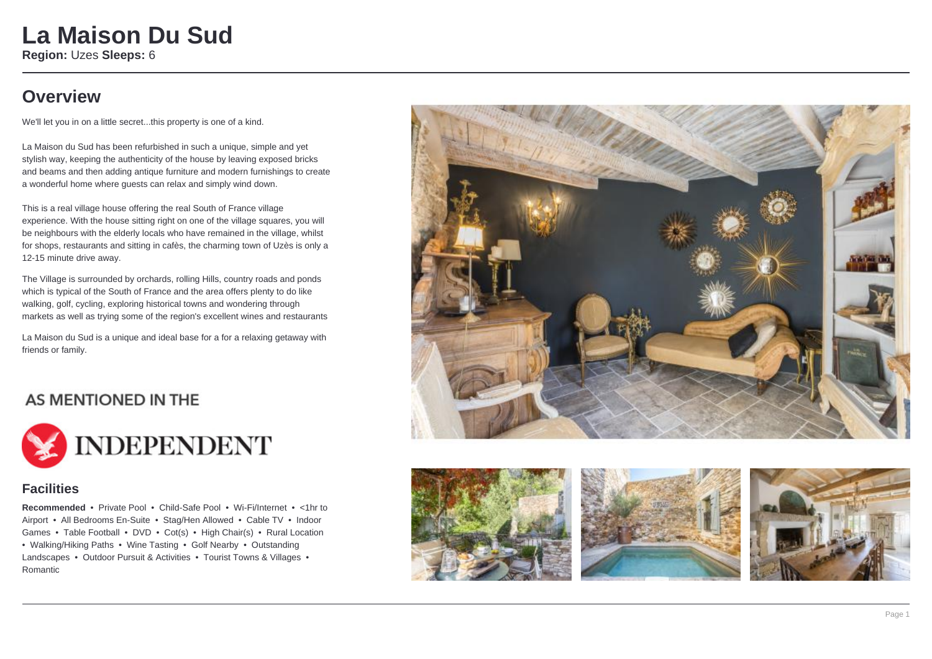### **La Maison Du Sud Region:** Uzes **Sleeps:** 6

**Overview**

We'll let you in on a little secret...this property is one of a kind.

La Maison du Sud has been refurbished in such a unique, simple and yet stylish way, keeping the authenticity of the house by leaving exposed bricks and beams and then adding antique furniture and modern furnishings to create a wonderful home where guests can relax and simply wind down.

This is a real village house offering the real South of France village experience. With the house sitting right on one of the village squares, you will be neighbours with the elderly locals who have remained in the village, whilst for shops, restaurants and sitting in cafès, the charming town of Uzès is only a 12-15 minute drive away.

The Village is surrounded by orchards, rolling Hills, country roads and ponds which is typical of the South of France and the area offers plenty to do like walking, golf, cycling, exploring historical towns and wondering through markets as well as trying some of the region's excellent wines and restaurants

La Maison du Sud is a unique and ideal base for a for a relaxing getaway with friends or family.

#### AS MENTIONED IN THE



#### **Facilities**

**Recommended** • Private Pool • Child-Safe Pool • Wi-Fi/Internet • <1hr to Airport • All Bedrooms En-Suite • Stag/Hen Allowed • Cable TV • Indoor Games • Table Football • DVD • Cot(s) • High Chair(s) • Rural Location • Walking/Hiking Paths • Wine Tasting • Golf Nearby • Outstanding Landscapes • Outdoor Pursuit & Activities • Tourist Towns & Villages • Romantic







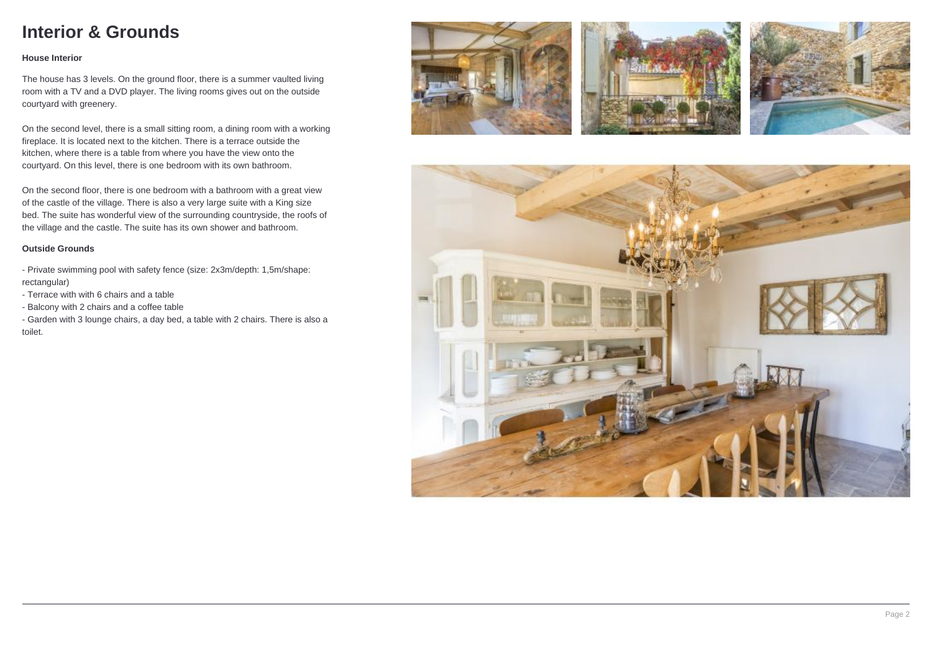## **Interior & Grounds**

#### **House Interior**

The house has 3 levels. On the ground floor, there is a summer vaulted living room with a TV and a DVD player. The living rooms gives out on the outside courtyard with greenery.

On the second level, there is a small sitting room, a dining room with a working fireplace. It is located next to the kitchen. There is a terrace outside the kitchen, where there is a table from where you have the view onto the courtyard. On this level, there is one bedroom with its own bathroom.

On the second floor, there is one bedroom with a bathroom with a great view of the castle of the village. There is also a very large suite with a King size bed. The suite has wonderful view of the surrounding countryside, the roofs of the village and the castle. The suite has its own shower and bathroom.

#### **Outside Grounds**

- Private swimming pool with safety fence (size: 2x3m/depth: 1,5m/shape: rectangular)

- Terrace with with 6 chairs and a table
- Balcony with 2 chairs and a coffee table

- Garden with 3 lounge chairs, a day bed, a table with 2 chairs. There is also a toilet.







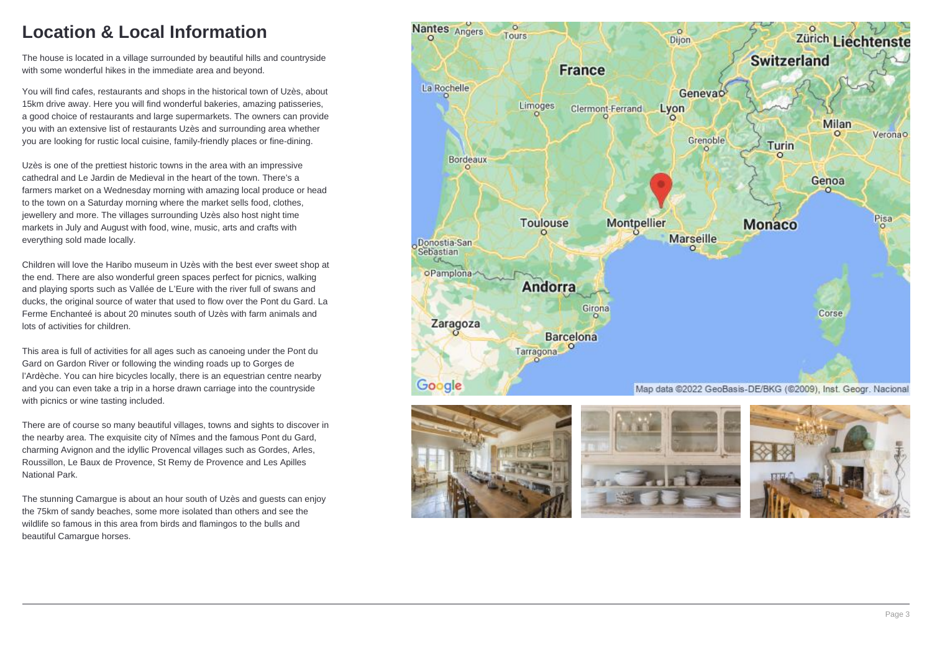## **Location & Local Information**

The house is located in a village surrounded by beautiful hills and countryside with some wonderful hikes in the immediate area and beyond.

You will find cafes, restaurants and shops in the historical town of Uzès, about 15km drive away. Here you will find wonderful bakeries, amazing patisseries, a good choice of restaurants and large supermarkets. The owners can provide you with an extensive list of restaurants Uzès and surrounding area whether you are looking for rustic local cuisine, family-friendly places or fine-dining.

Uzès is one of the prettiest historic towns in the area with an impressive cathedral and Le Jardin de Medieval in the heart of the town. There's a farmers market on a Wednesday morning with amazing local produce or head to the town on a Saturday morning where the market sells food, clothes, jewellery and more. The villages surrounding Uzès also host night time markets in July and August with food, wine, music, arts and crafts with everything sold made locally.

Children will love the Haribo museum in Uzès with the best ever sweet shop at the end. There are also wonderful green spaces perfect for picnics, walking and playing sports such as Vallée de L'Eure with the river full of swans and ducks, the original source of water that used to flow over the Pont du Gard. La Ferme Enchanteé is about 20 minutes south of Uzès with farm animals and lots of activities for children.

This area is full of activities for all ages such as canoeing under the Pont du Gard on Gardon River or following the winding roads up to Gorges de l'Ardèche. You can hire bicycles locally, there is an equestrian centre nearby and you can even take a trip in a horse drawn carriage into the countryside with picnics or wine tasting included.

There are of course so many beautiful villages, towns and sights to discover in the nearby area. The exquisite city of Nîmes and the famous Pont du Gard, charming Avignon and the idyllic Provencal villages such as Gordes, Arles, Roussillon, Le Baux de Provence, St Remy de Provence and Les Apilles National Park.

The stunning Camargue is about an hour south of Uzès and guests can enjoy the 75km of sandy beaches, some more isolated than others and see the wildlife so famous in this area from birds and flamingos to the bulls and beautiful Camargue horses.





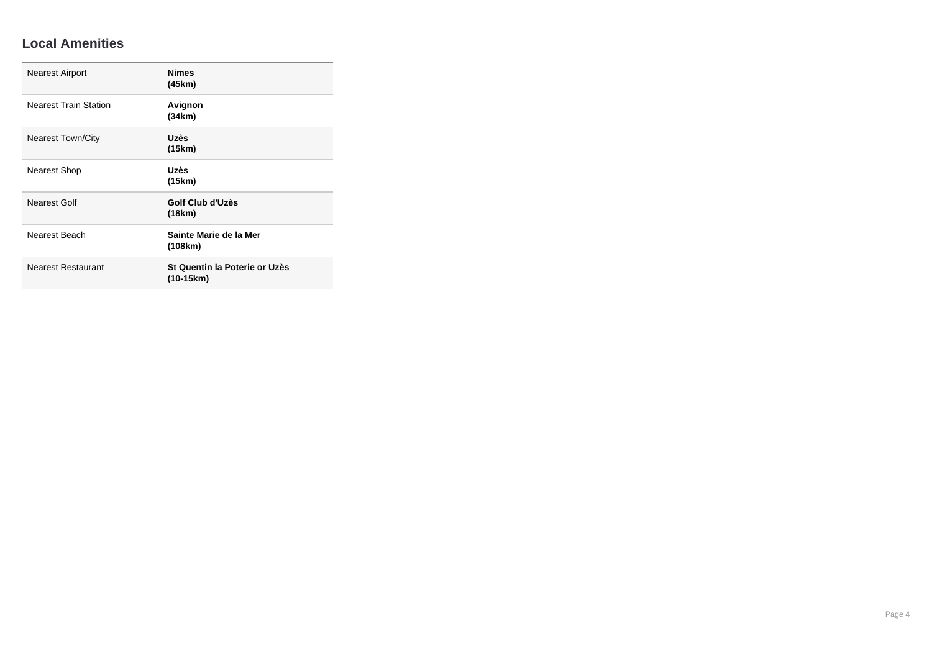#### **Local Amenities**

| <b>Nearest Airport</b>       | <b>Nimes</b><br>(45km)                     |
|------------------------------|--------------------------------------------|
| <b>Nearest Train Station</b> | Avignon<br>(34km)                          |
| <b>Nearest Town/City</b>     | Uzès<br>(15km)                             |
| Nearest Shop                 | Uzès<br>(15km)                             |
| Nearest Golf                 | Golf Club d'Uzès<br>(18km)                 |
| Nearest Beach                | Sainte Marie de la Mer<br>(108km)          |
| <b>Nearest Restaurant</b>    | St Quentin la Poterie or Uzès<br>(10-15km) |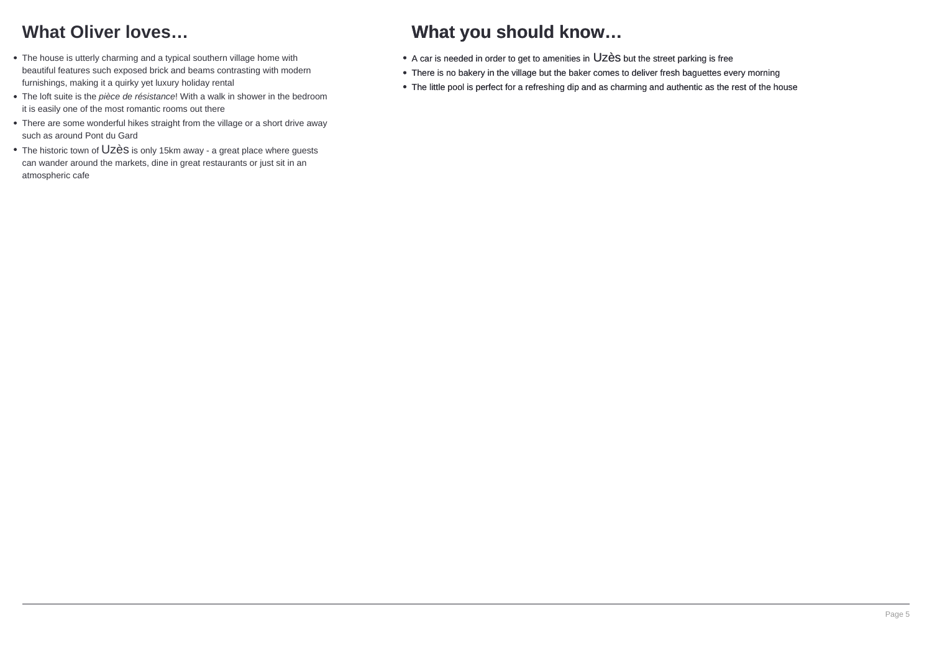# **What Oliver loves…**

- The house is utterly charming and a typical southern village home with beautiful features such exposed brick and beams contrasting with modern furnishings, making it a quirky yet luxury holiday rental
- The loft suite is the pièce de résistance! With a walk in shower in the bedroom it is easily one of the most romantic rooms out there
- There are some wonderful hikes straight from the village or a short drive away such as around Pont du Gard
- The historic town of Uzès is only 15km away a great place where guests can wander around the markets, dine in great restaurants or just sit in an atmospheric cafe

## **What you should know…**

- A car is needed in order to get to amenities in Uzès but the street parking is free
- There is no bakery in the village but the baker comes to deliver fresh baguettes every morning
- The little pool is perfect for a refreshing dip and as charming and authentic as the rest of the house